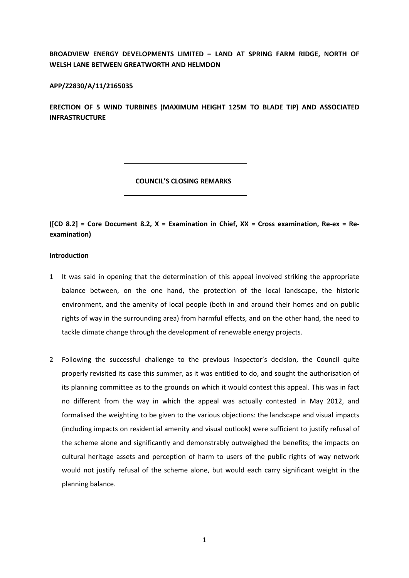**BROADVIEW ENERGY DEVELOPMENTS LIMITED – LAND AT SPRING FARM RIDGE, NORTH OF WELSH LANE BETWEEN GREATWORTH AND HELMDON** 

# **APP/Z2830/A/11/2165035**

**ERECTION OF 5 WIND TURBINES (MAXIMUM HEIGHT 125M TO BLADE TIP) AND ASSOCIATED INFRASTRUCTURE**

#### **COUNCIL'S CLOSING REMARKS**

([CD 8.2] = Core Document 8.2,  $X =$  Examination in Chief,  $XX =$  Cross examination, Re-ex = Re**examination)**

# **Introduction**

- 1 It was said in opening that the determination of this appeal involved striking the appropriate balance between, on the one hand, the protection of the local landscape, the historic environment, and the amenity of local people (both in and around their homes and on public rights of way in the surrounding area) from harmful effects, and on the other hand, the need to tackle climate change through the development of renewable energy projects.
- 2 Following the successful challenge to the previous Inspector's decision, the Council quite properly revisited its case this summer, as it was entitled to do, and sought the authorisation of its planning committee as to the grounds on which it would contest this appeal. This was in fact no different from the way in which the appeal was actually contested in May 2012, and formalised the weighting to be given to the various objections: the landscape and visual impacts (including impacts on residential amenity and visual outlook) were sufficient to justify refusal of the scheme alone and significantly and demonstrably outweighed the benefits; the impacts on cultural heritage assets and perception of harm to users of the public rights of way network would not justify refusal of the scheme alone, but would each carry significant weight in the planning balance.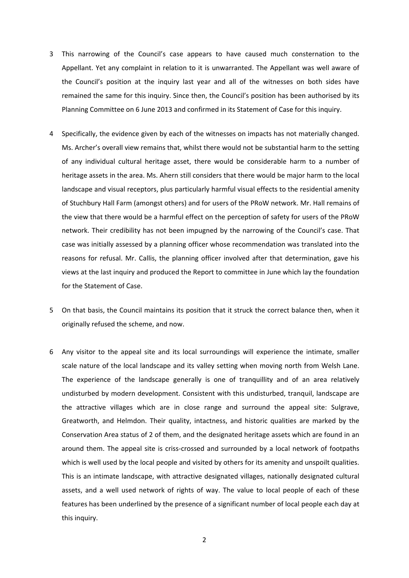- 3 This narrowing of the Council's case appears to have caused much consternation to the Appellant. Yet any complaint in relation to it is unwarranted. The Appellant was well aware of the Council's position at the inquiry last year and all of the witnesses on both sides have remained the same for this inquiry. Since then, the Council's position has been authorised by its Planning Committee on 6 June 2013 and confirmed in its Statement of Case for this inquiry.
- 4 Specifically, the evidence given by each of the witnesses on impacts has not materially changed. Ms. Archer's overall view remains that, whilst there would not be substantial harm to the setting of any individual cultural heritage asset, there would be considerable harm to a number of heritage assets in the area. Ms. Ahern still considers that there would be major harm to the local landscape and visual receptors, plus particularly harmful visual effects to the residential amenity of Stuchbury Hall Farm (amongst others) and for users of the PRoW network. Mr. Hall remains of the view that there would be a harmful effect on the perception of safety for users of the PRoW network. Their credibility has not been impugned by the narrowing of the Council's case. That case was initially assessed by a planning officer whose recommendation was translated into the reasons for refusal. Mr. Callis, the planning officer involved after that determination, gave his views at the last inquiry and produced the Report to committee in June which lay the foundation for the Statement of Case.
- 5 On that basis, the Council maintains its position that it struck the correct balance then, when it originally refused the scheme, and now.
- 6 Any visitor to the appeal site and its local surroundings will experience the intimate, smaller scale nature of the local landscape and its valley setting when moving north from Welsh Lane. The experience of the landscape generally is one of tranquillity and of an area relatively undisturbed by modern development. Consistent with this undisturbed, tranquil, landscape are the attractive villages which are in close range and surround the appeal site: Sulgrave, Greatworth, and Helmdon. Their quality, intactness, and historic qualities are marked by the Conservation Area status of 2 of them, and the designated heritage assets which are found in an around them. The appeal site is criss‐crossed and surrounded by a local network of footpaths which is well used by the local people and visited by others for its amenity and unspoilt qualities. This is an intimate landscape, with attractive designated villages, nationally designated cultural assets, and a well used network of rights of way. The value to local people of each of these features has been underlined by the presence of a significant number of local people each day at this inquiry.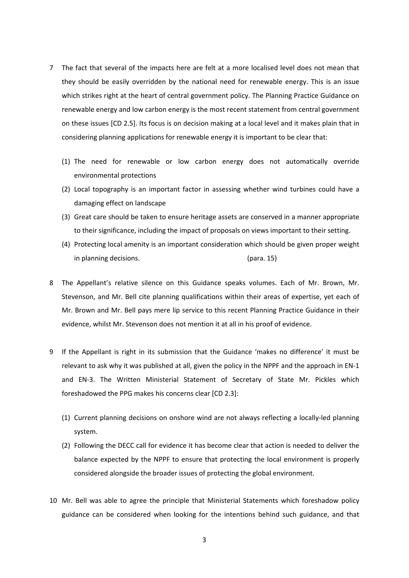- 7 The fact that several of the impacts here are felt at a more localised level does not mean that they should be easily overridden by the national need for renewable energy. This is an issue which strikes right at the heart of central government policy. The Planning Practice Guidance on renewable energy and low carbon energy is the most recent statement from central government on these issues [CD 2.5]. Its focus is on decision making at a local level and it makes plain that in considering planning applications for renewable energy it is important to be clear that:
	- (1) The need for renewable or low carbon energy does not automatically override environmental protections
	- (2) Local topography is an important factor in assessing whether wind turbines could have a damaging effect on landscape
	- (3) Great care should be taken to ensure heritage assets are conserved in a manner appropriate to their significance, including the impact of proposals on views important to their setting.
	- (4) Protecting local amenity is an important consideration which should be given proper weight in planning decisions.  $\qquad \qquad$  (para. 15)
- 8 The Appellant's relative silence on this Guidance speaks volumes. Each of Mr. Brown, Mr. Stevenson, and Mr. Bell cite planning qualifications within their areas of expertise, yet each of Mr. Brown and Mr. Bell pays mere lip service to this recent Planning Practice Guidance in their evidence, whilst Mr. Stevenson does not mention it at all in his proof of evidence.
- 9 If the Appellant is right in its submission that the Guidance 'makes no difference' it must be relevant to ask why it was published at all, given the policy in the NPPF and the approach in EN‐1 and EN‐3. The Written Ministerial Statement of Secretary of State Mr. Pickles which foreshadowed the PPG makes his concerns clear [CD 2.3]:
	- (1) Current planning decisions on onshore wind are not always reflecting a locally‐led planning system.
	- (2) Following the DECC call for evidence it has become clear that action is needed to deliver the balance expected by the NPPF to ensure that protecting the local environment is properly considered alongside the broader issues of protecting the global environment.
- 10 Mr. Bell was able to agree the principle that Ministerial Statements which foreshadow policy guidance can be considered when looking for the intentions behind such guidance, and that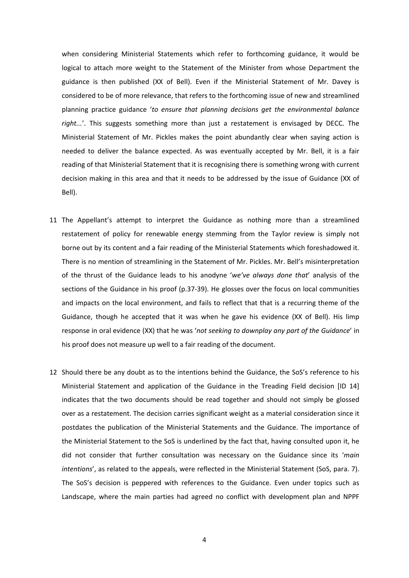when considering Ministerial Statements which refer to forthcoming guidance, it would be logical to attach more weight to the Statement of the Minister from whose Department the guidance is then published (XX of Bell). Even if the Ministerial Statement of Mr. Davey is considered to be of more relevance, that refers to the forthcoming issue of new and streamlined planning practice guidance '*to ensure that planning decisions get the environmental balance right...*'. This suggests something more than just a restatement is envisaged by DECC. The Ministerial Statement of Mr. Pickles makes the point abundantly clear when saying action is needed to deliver the balance expected. As was eventually accepted by Mr. Bell, it is a fair reading of that Ministerial Statement that it is recognising there is something wrong with current decision making in this area and that it needs to be addressed by the issue of Guidance (XX of Bell).

- 11 The Appellant's attempt to interpret the Guidance as nothing more than a streamlined restatement of policy for renewable energy stemming from the Taylor review is simply not borne out by its content and a fair reading of the Ministerial Statements which foreshadowed it. There is no mention of streamlining in the Statement of Mr. Pickles. Mr. Bell's misinterpretation of the thrust of the Guidance leads to his anodyne '*we've always done that*' analysis of the sections of the Guidance in his proof (p.37-39). He glosses over the focus on local communities and impacts on the local environment, and fails to reflect that that is a recurring theme of the Guidance, though he accepted that it was when he gave his evidence (XX of Bell). His limp response in oral evidence (XX) that he was '*not seeking to downplay any part of the Guidance*' in his proof does not measure up well to a fair reading of the document.
- 12 Should there be any doubt as to the intentions behind the Guidance, the SoS's reference to his Ministerial Statement and application of the Guidance in the Treading Field decision [ID 14] indicates that the two documents should be read together and should not simply be glossed over as a restatement. The decision carries significant weight as a material consideration since it postdates the publication of the Ministerial Statements and the Guidance. The importance of the Ministerial Statement to the SoS is underlined by the fact that, having consulted upon it, he did not consider that further consultation was necessary on the Guidance since its '*main intentions*', as related to the appeals, were reflected in the Ministerial Statement (SoS, para. 7). The SoS's decision is peppered with references to the Guidance. Even under topics such as Landscape, where the main parties had agreed no conflict with development plan and NPPF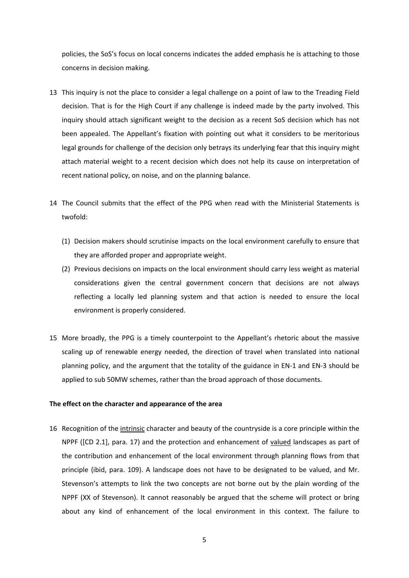policies, the SoS's focus on local concerns indicates the added emphasis he is attaching to those concerns in decision making.

- 13 This inquiry is not the place to consider a legal challenge on a point of law to the Treading Field decision. That is for the High Court if any challenge is indeed made by the party involved. This inquiry should attach significant weight to the decision as a recent SoS decision which has not been appealed. The Appellant's fixation with pointing out what it considers to be meritorious legal grounds for challenge of the decision only betrays its underlying fear that this inquiry might attach material weight to a recent decision which does not help its cause on interpretation of recent national policy, on noise, and on the planning balance.
- 14 The Council submits that the effect of the PPG when read with the Ministerial Statements is twofold:
	- (1) Decision makers should scrutinise impacts on the local environment carefully to ensure that they are afforded proper and appropriate weight.
	- (2) Previous decisions on impacts on the local environment should carry less weight as material considerations given the central government concern that decisions are not always reflecting a locally led planning system and that action is needed to ensure the local environment is properly considered.
- 15 More broadly, the PPG is a timely counterpoint to the Appellant's rhetoric about the massive scaling up of renewable energy needed, the direction of travel when translated into national planning policy, and the argument that the totality of the guidance in EN‐1 and EN‐3 should be applied to sub 50MW schemes, rather than the broad approach of those documents.

#### **The effect on the character and appearance of the area**

16 Recognition of the intrinsic character and beauty of the countryside is a core principle within the NPPF ([CD 2.1], para. 17) and the protection and enhancement of valued landscapes as part of the contribution and enhancement of the local environment through planning flows from that principle (ibid, para. 109). A landscape does not have to be designated to be valued, and Mr. Stevenson's attempts to link the two concepts are not borne out by the plain wording of the NPPF (XX of Stevenson). It cannot reasonably be argued that the scheme will protect or bring about any kind of enhancement of the local environment in this context. The failure to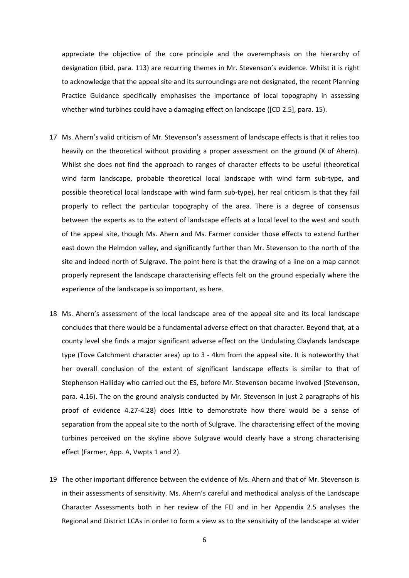appreciate the objective of the core principle and the overemphasis on the hierarchy of designation (ibid, para. 113) are recurring themes in Mr. Stevenson's evidence. Whilst it is right to acknowledge that the appeal site and its surroundings are not designated, the recent Planning Practice Guidance specifically emphasises the importance of local topography in assessing whether wind turbines could have a damaging effect on landscape ([CD 2.5], para. 15).

- 17 Ms. Ahern's valid criticism of Mr. Stevenson's assessment of landscape effects is that it relies too heavily on the theoretical without providing a proper assessment on the ground (X of Ahern). Whilst she does not find the approach to ranges of character effects to be useful (theoretical wind farm landscape, probable theoretical local landscape with wind farm sub-type, and possible theoretical local landscape with wind farm sub‐type), her real criticism is that they fail properly to reflect the particular topography of the area. There is a degree of consensus between the experts as to the extent of landscape effects at a local level to the west and south of the appeal site, though Ms. Ahern and Ms. Farmer consider those effects to extend further east down the Helmdon valley, and significantly further than Mr. Stevenson to the north of the site and indeed north of Sulgrave. The point here is that the drawing of a line on a map cannot properly represent the landscape characterising effects felt on the ground especially where the experience of the landscape is so important, as here.
- 18 Ms. Ahern's assessment of the local landscape area of the appeal site and its local landscape concludes that there would be a fundamental adverse effect on that character. Beyond that, at a county level she finds a major significant adverse effect on the Undulating Claylands landscape type (Tove Catchment character area) up to 3 ‐ 4km from the appeal site. It is noteworthy that her overall conclusion of the extent of significant landscape effects is similar to that of Stephenson Halliday who carried out the ES, before Mr. Stevenson became involved (Stevenson, para. 4.16). The on the ground analysis conducted by Mr. Stevenson in just 2 paragraphs of his proof of evidence 4.27‐4.28) does little to demonstrate how there would be a sense of separation from the appeal site to the north of Sulgrave. The characterising effect of the moving turbines perceived on the skyline above Sulgrave would clearly have a strong characterising effect (Farmer, App. A, Vwpts 1 and 2).
- 19 The other important difference between the evidence of Ms. Ahern and that of Mr. Stevenson is in their assessments of sensitivity. Ms. Ahern's careful and methodical analysis of the Landscape Character Assessments both in her review of the FEI and in her Appendix 2.5 analyses the Regional and District LCAs in order to form a view as to the sensitivity of the landscape at wider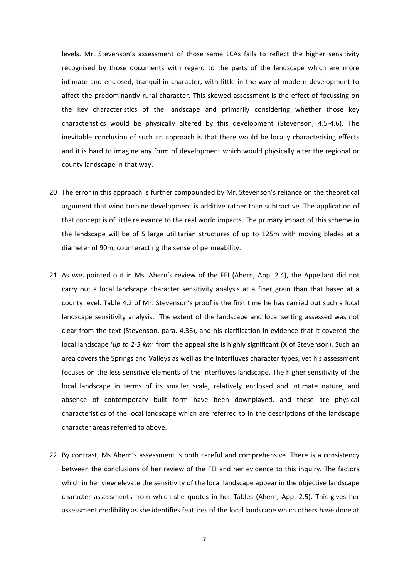levels. Mr. Stevenson's assessment of those same LCAs fails to reflect the higher sensitivity recognised by those documents with regard to the parts of the landscape which are more intimate and enclosed, tranquil in character, with little in the way of modern development to affect the predominantly rural character. This skewed assessment is the effect of focussing on the key characteristics of the landscape and primarily considering whether those key characteristics would be physically altered by this development (Stevenson, 4.5‐4.6). The inevitable conclusion of such an approach is that there would be locally characterising effects and it is hard to imagine any form of development which would physically alter the regional or county landscape in that way.

- 20 The error in this approach is further compounded by Mr. Stevenson's reliance on the theoretical argument that wind turbine development is additive rather than subtractive. The application of that concept is of little relevance to the real world impacts. The primary impact of this scheme in the landscape will be of 5 large utilitarian structures of up to 125m with moving blades at a diameter of 90m, counteracting the sense of permeability.
- 21 As was pointed out in Ms. Ahern's review of the FEI (Ahern, App. 2.4), the Appellant did not carry out a local landscape character sensitivity analysis at a finer grain than that based at a county level. Table 4.2 of Mr. Stevenson's proof is the first time he has carried out such a local landscape sensitivity analysis. The extent of the landscape and local setting assessed was not clear from the text (Stevenson, para. 4.36), and his clarification in evidence that it covered the local landscape '*up* to 2-3 km' from the appeal site is highly significant (X of Stevenson). Such an area covers the Springs and Valleys as well as the Interfluves character types, yet his assessment focuses on the less sensitive elements of the Interfluves landscape. The higher sensitivity of the local landscape in terms of its smaller scale, relatively enclosed and intimate nature, and absence of contemporary built form have been downplayed, and these are physical characteristics of the local landscape which are referred to in the descriptions of the landscape character areas referred to above.
- 22 By contrast, Ms Ahern's assessment is both careful and comprehensive. There is a consistency between the conclusions of her review of the FEI and her evidence to this inquiry. The factors which in her view elevate the sensitivity of the local landscape appear in the objective landscape character assessments from which she quotes in her Tables (Ahern, App. 2.5). This gives her assessment credibility as she identifies features of the local landscape which others have done at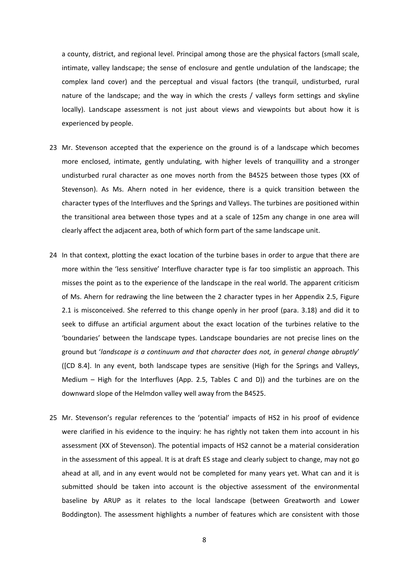a county, district, and regional level. Principal among those are the physical factors (small scale, intimate, valley landscape; the sense of enclosure and gentle undulation of the landscape; the complex land cover) and the perceptual and visual factors (the tranquil, undisturbed, rural nature of the landscape; and the way in which the crests / valleys form settings and skyline locally). Landscape assessment is not just about views and viewpoints but about how it is experienced by people.

- 23 Mr. Stevenson accepted that the experience on the ground is of a landscape which becomes more enclosed, intimate, gently undulating, with higher levels of tranquillity and a stronger undisturbed rural character as one moves north from the B4525 between those types (XX of Stevenson). As Ms. Ahern noted in her evidence, there is a quick transition between the character types of the Interfluves and the Springs and Valleys. The turbines are positioned within the transitional area between those types and at a scale of 125m any change in one area will clearly affect the adjacent area, both of which form part of the same landscape unit.
- 24 In that context, plotting the exact location of the turbine bases in order to argue that there are more within the 'less sensitive' Interfluve character type is far too simplistic an approach. This misses the point as to the experience of the landscape in the real world. The apparent criticism of Ms. Ahern for redrawing the line between the 2 character types in her Appendix 2.5, Figure 2.1 is misconceived. She referred to this change openly in her proof (para. 3.18) and did it to seek to diffuse an artificial argument about the exact location of the turbines relative to the 'boundaries' between the landscape types. Landscape boundaries are not precise lines on the ground but '*landscape is a continuum and that character does not, in general change abruptly*' ([CD 8.4]. In any event, both landscape types are sensitive (High for the Springs and Valleys, Medium – High for the Interfluves (App. 2.5, Tables C and D)) and the turbines are on the downward slope of the Helmdon valley well away from the B4525.
- 25 Mr. Stevenson's regular references to the 'potential' impacts of HS2 in his proof of evidence were clarified in his evidence to the inquiry: he has rightly not taken them into account in his assessment (XX of Stevenson). The potential impacts of HS2 cannot be a material consideration in the assessment of this appeal. It is at draft ES stage and clearly subject to change, may not go ahead at all, and in any event would not be completed for many years yet. What can and it is submitted should be taken into account is the objective assessment of the environmental baseline by ARUP as it relates to the local landscape (between Greatworth and Lower Boddington). The assessment highlights a number of features which are consistent with those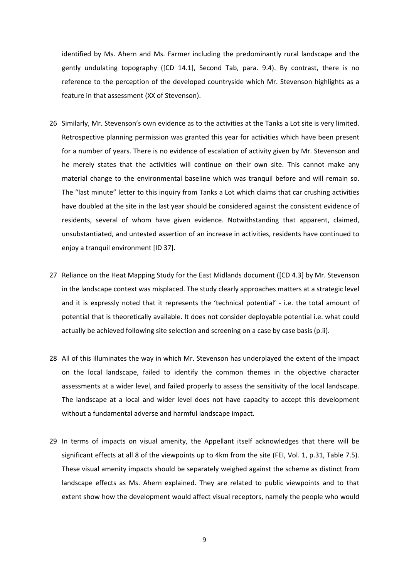identified by Ms. Ahern and Ms. Farmer including the predominantly rural landscape and the gently undulating topography ([CD 14.1], Second Tab, para. 9.4). By contrast, there is no reference to the perception of the developed countryside which Mr. Stevenson highlights as a feature in that assessment (XX of Stevenson).

- 26 Similarly, Mr. Stevenson's own evidence as to the activities at the Tanks a Lot site is very limited. Retrospective planning permission was granted this year for activities which have been present for a number of years. There is no evidence of escalation of activity given by Mr. Stevenson and he merely states that the activities will continue on their own site. This cannot make any material change to the environmental baseline which was tranquil before and will remain so. The "last minute" letter to this inquiry from Tanks a Lot which claims that car crushing activities have doubled at the site in the last year should be considered against the consistent evidence of residents, several of whom have given evidence. Notwithstanding that apparent, claimed, unsubstantiated, and untested assertion of an increase in activities, residents have continued to enjoy a tranquil environment [ID 37].
- 27 Reliance on the Heat Mapping Study for the East Midlands document ([CD 4.3] by Mr. Stevenson in the landscape context was misplaced. The study clearly approaches matters at a strategic level and it is expressly noted that it represents the 'technical potential' - i.e. the total amount of potential that is theoretically available. It does not consider deployable potential i.e. what could actually be achieved following site selection and screening on a case by case basis (p.ii).
- 28 All of this illuminates the way in which Mr. Stevenson has underplayed the extent of the impact on the local landscape, failed to identify the common themes in the objective character assessments at a wider level, and failed properly to assess the sensitivity of the local landscape. The landscape at a local and wider level does not have capacity to accept this development without a fundamental adverse and harmful landscape impact.
- 29 In terms of impacts on visual amenity, the Appellant itself acknowledges that there will be significant effects at all 8 of the viewpoints up to 4km from the site (FEI, Vol. 1, p.31, Table 7.5). These visual amenity impacts should be separately weighed against the scheme as distinct from landscape effects as Ms. Ahern explained. They are related to public viewpoints and to that extent show how the development would affect visual receptors, namely the people who would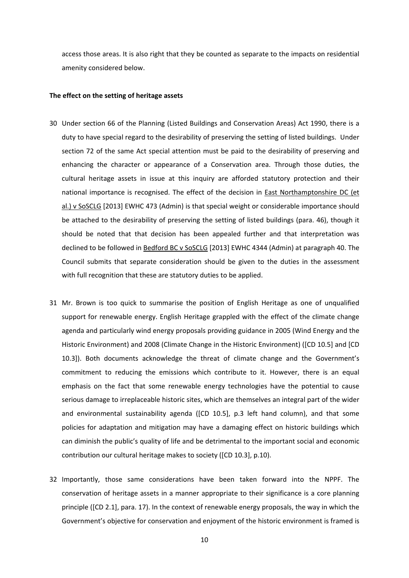access those areas. It is also right that they be counted as separate to the impacts on residential amenity considered below.

#### **The effect on the setting of heritage assets**

- 30 Under section 66 of the Planning (Listed Buildings and Conservation Areas) Act 1990, there is a duty to have special regard to the desirability of preserving the setting of listed buildings. Under section 72 of the same Act special attention must be paid to the desirability of preserving and enhancing the character or appearance of a Conservation area. Through those duties, the cultural heritage assets in issue at this inquiry are afforded statutory protection and their national importance is recognised. The effect of the decision in East Northamptonshire DC (et al.) v SoSCLG [2013] EWHC 473 (Admin) is that special weight or considerable importance should be attached to the desirability of preserving the setting of listed buildings (para. 46), though it should be noted that that decision has been appealed further and that interpretation was declined to be followed in Bedford BC v SoSCLG [2013] EWHC 4344 (Admin) at paragraph 40. The Council submits that separate consideration should be given to the duties in the assessment with full recognition that these are statutory duties to be applied.
- 31 Mr. Brown is too quick to summarise the position of English Heritage as one of unqualified support for renewable energy. English Heritage grappled with the effect of the climate change agenda and particularly wind energy proposals providing guidance in 2005 (Wind Energy and the Historic Environment) and 2008 (Climate Change in the Historic Environment) ([CD 10.5] and [CD 10.3]). Both documents acknowledge the threat of climate change and the Government's commitment to reducing the emissions which contribute to it. However, there is an equal emphasis on the fact that some renewable energy technologies have the potential to cause serious damage to irreplaceable historic sites, which are themselves an integral part of the wider and environmental sustainability agenda ([CD 10.5], p.3 left hand column), and that some policies for adaptation and mitigation may have a damaging effect on historic buildings which can diminish the public's quality of life and be detrimental to the important social and economic contribution our cultural heritage makes to society ([CD 10.3], p.10).
- 32 Importantly, those same considerations have been taken forward into the NPPF. The conservation of heritage assets in a manner appropriate to their significance is a core planning principle ([CD 2.1], para. 17). In the context of renewable energy proposals, the way in which the Government's objective for conservation and enjoyment of the historic environment is framed is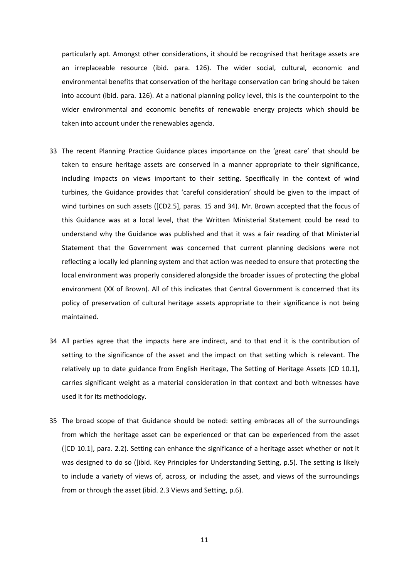particularly apt. Amongst other considerations, it should be recognised that heritage assets are an irreplaceable resource (ibid. para. 126). The wider social, cultural, economic and environmental benefits that conservation of the heritage conservation can bring should be taken into account (ibid. para. 126). At a national planning policy level, this is the counterpoint to the wider environmental and economic benefits of renewable energy projects which should be taken into account under the renewables agenda.

- 33 The recent Planning Practice Guidance places importance on the 'great care' that should be taken to ensure heritage assets are conserved in a manner appropriate to their significance, including impacts on views important to their setting. Specifically in the context of wind turbines, the Guidance provides that 'careful consideration' should be given to the impact of wind turbines on such assets ([CD2.5], paras. 15 and 34). Mr. Brown accepted that the focus of this Guidance was at a local level, that the Written Ministerial Statement could be read to understand why the Guidance was published and that it was a fair reading of that Ministerial Statement that the Government was concerned that current planning decisions were not reflecting a locally led planning system and that action was needed to ensure that protecting the local environment was properly considered alongside the broader issues of protecting the global environment (XX of Brown). All of this indicates that Central Government is concerned that its policy of preservation of cultural heritage assets appropriate to their significance is not being maintained.
- 34 All parties agree that the impacts here are indirect, and to that end it is the contribution of setting to the significance of the asset and the impact on that setting which is relevant. The relatively up to date guidance from English Heritage, The Setting of Heritage Assets [CD 10.1], carries significant weight as a material consideration in that context and both witnesses have used it for its methodology.
- 35 The broad scope of that Guidance should be noted: setting embraces all of the surroundings from which the heritage asset can be experienced or that can be experienced from the asset ([CD 10.1], para. 2.2). Setting can enhance the significance of a heritage asset whether or not it was designed to do so ([ibid. Key Principles for Understanding Setting, p.5). The setting is likely to include a variety of views of, across, or including the asset, and views of the surroundings from or through the asset (ibid. 2.3 Views and Setting, p.6).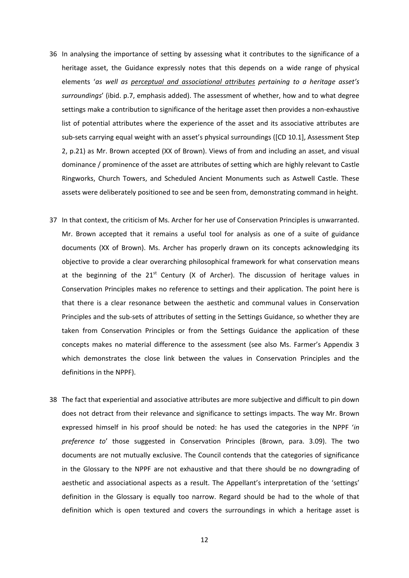- 36 In analysing the importance of setting by assessing what it contributes to the significance of a heritage asset, the Guidance expressly notes that this depends on a wide range of physical elements '*as well as perceptual and associational attributes pertaining to a heritage asset's surroundings*' (ibid. p.7, emphasis added). The assessment of whether, how and to what degree settings make a contribution to significance of the heritage asset then provides a non-exhaustive list of potential attributes where the experience of the asset and its associative attributes are sub-sets carrying equal weight with an asset's physical surroundings ([CD 10.1], Assessment Step 2, p.21) as Mr. Brown accepted (XX of Brown). Views of from and including an asset, and visual dominance / prominence of the asset are attributes of setting which are highly relevant to Castle Ringworks, Church Towers, and Scheduled Ancient Monuments such as Astwell Castle. These assets were deliberately positioned to see and be seen from, demonstrating command in height.
- 37 In that context, the criticism of Ms. Archer for her use of Conservation Principles is unwarranted. Mr. Brown accepted that it remains a useful tool for analysis as one of a suite of guidance documents (XX of Brown). Ms. Archer has properly drawn on its concepts acknowledging its objective to provide a clear overarching philosophical framework for what conservation means at the beginning of the  $21<sup>st</sup>$  Century (X of Archer). The discussion of heritage values in Conservation Principles makes no reference to settings and their application. The point here is that there is a clear resonance between the aesthetic and communal values in Conservation Principles and the sub‐sets of attributes of setting in the Settings Guidance, so whether they are taken from Conservation Principles or from the Settings Guidance the application of these concepts makes no material difference to the assessment (see also Ms. Farmer's Appendix 3 which demonstrates the close link between the values in Conservation Principles and the definitions in the NPPF).
- 38 The fact that experiential and associative attributes are more subjective and difficult to pin down does not detract from their relevance and significance to settings impacts. The way Mr. Brown expressed himself in his proof should be noted: he has used the categories in the NPPF '*in preference to*' those suggested in Conservation Principles (Brown, para. 3.09). The two documents are not mutually exclusive. The Council contends that the categories of significance in the Glossary to the NPPF are not exhaustive and that there should be no downgrading of aesthetic and associational aspects as a result. The Appellant's interpretation of the 'settings' definition in the Glossary is equally too narrow. Regard should be had to the whole of that definition which is open textured and covers the surroundings in which a heritage asset is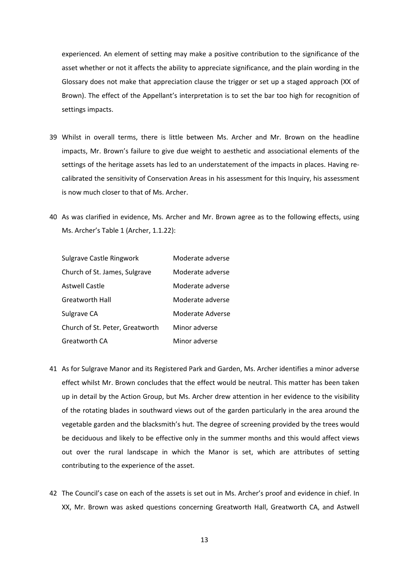experienced. An element of setting may make a positive contribution to the significance of the asset whether or not it affects the ability to appreciate significance, and the plain wording in the Glossary does not make that appreciation clause the trigger or set up a staged approach (XX of Brown). The effect of the Appellant's interpretation is to set the bar too high for recognition of settings impacts.

- 39 Whilst in overall terms, there is little between Ms. Archer and Mr. Brown on the headline impacts, Mr. Brown's failure to give due weight to aesthetic and associational elements of the settings of the heritage assets has led to an understatement of the impacts in places. Having re‐ calibrated the sensitivity of Conservation Areas in his assessment for this Inquiry, his assessment is now much closer to that of Ms. Archer.
- 40 As was clarified in evidence, Ms. Archer and Mr. Brown agree as to the following effects, using Ms. Archer's Table 1 (Archer, 1.1.22):

| <b>Sulgrave Castle Ringwork</b> | Moderate adverse |
|---------------------------------|------------------|
| Church of St. James, Sulgrave   | Moderate adverse |
| <b>Astwell Castle</b>           | Moderate adverse |
| Greatworth Hall                 | Moderate adverse |
| Sulgrave CA                     | Moderate Adverse |
| Church of St. Peter, Greatworth | Minor adverse    |
| Greatworth CA                   | Minor adverse    |

- 41 As for Sulgrave Manor and its Registered Park and Garden, Ms. Archer identifies a minor adverse effect whilst Mr. Brown concludes that the effect would be neutral. This matter has been taken up in detail by the Action Group, but Ms. Archer drew attention in her evidence to the visibility of the rotating blades in southward views out of the garden particularly in the area around the vegetable garden and the blacksmith's hut. The degree of screening provided by the trees would be deciduous and likely to be effective only in the summer months and this would affect views out over the rural landscape in which the Manor is set, which are attributes of setting contributing to the experience of the asset.
- 42 The Council's case on each of the assets is set out in Ms. Archer's proof and evidence in chief. In XX, Mr. Brown was asked questions concerning Greatworth Hall, Greatworth CA, and Astwell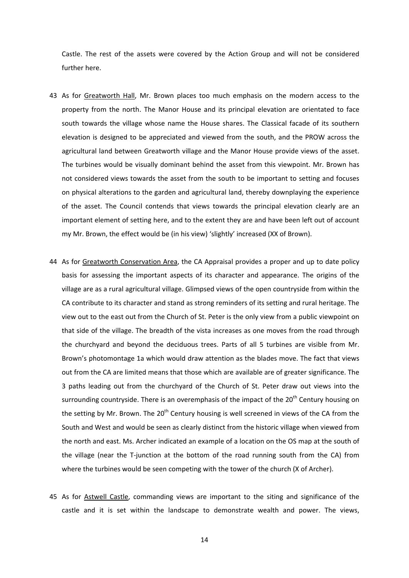Castle. The rest of the assets were covered by the Action Group and will not be considered further here.

- 43 As for Greatworth Hall, Mr. Brown places too much emphasis on the modern access to the property from the north. The Manor House and its principal elevation are orientated to face south towards the village whose name the House shares. The Classical facade of its southern elevation is designed to be appreciated and viewed from the south, and the PROW across the agricultural land between Greatworth village and the Manor House provide views of the asset. The turbines would be visually dominant behind the asset from this viewpoint. Mr. Brown has not considered views towards the asset from the south to be important to setting and focuses on physical alterations to the garden and agricultural land, thereby downplaying the experience of the asset. The Council contends that views towards the principal elevation clearly are an important element of setting here, and to the extent they are and have been left out of account my Mr. Brown, the effect would be (in his view) 'slightly' increased (XX of Brown).
- 44 As for Greatworth Conservation Area, the CA Appraisal provides a proper and up to date policy basis for assessing the important aspects of its character and appearance. The origins of the village are as a rural agricultural village. Glimpsed views of the open countryside from within the CA contribute to its character and stand as strong reminders of its setting and rural heritage. The view out to the east out from the Church of St. Peter is the only view from a public viewpoint on that side of the village. The breadth of the vista increases as one moves from the road through the churchyard and beyond the deciduous trees. Parts of all 5 turbines are visible from Mr. Brown's photomontage 1a which would draw attention as the blades move. The fact that views out from the CA are limited means that those which are available are of greater significance. The 3 paths leading out from the churchyard of the Church of St. Peter draw out views into the surrounding countryside. There is an overemphasis of the impact of the 20<sup>th</sup> Century housing on the setting by Mr. Brown. The  $20<sup>th</sup>$  Century housing is well screened in views of the CA from the South and West and would be seen as clearly distinct from the historic village when viewed from the north and east. Ms. Archer indicated an example of a location on the OS map at the south of the village (near the T-junction at the bottom of the road running south from the CA) from where the turbines would be seen competing with the tower of the church (X of Archer).
- 45 As for **Astwell Castle**, commanding views are important to the siting and significance of the castle and it is set within the landscape to demonstrate wealth and power. The views,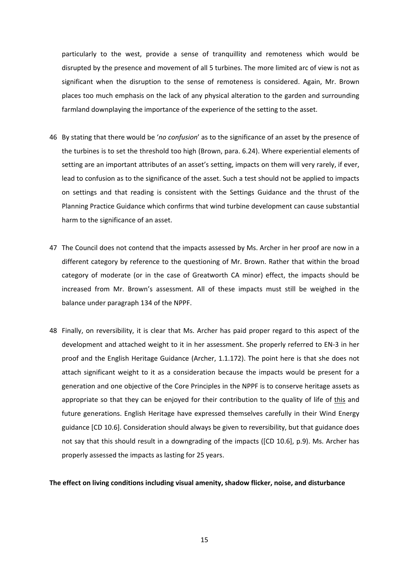particularly to the west, provide a sense of tranquillity and remoteness which would be disrupted by the presence and movement of all 5 turbines. The more limited arc of view is not as significant when the disruption to the sense of remoteness is considered. Again, Mr. Brown places too much emphasis on the lack of any physical alteration to the garden and surrounding farmland downplaying the importance of the experience of the setting to the asset.

- 46 By stating that there would be '*no confusion*' as to the significance of an asset by the presence of the turbines is to set the threshold too high (Brown, para. 6.24). Where experiential elements of setting are an important attributes of an asset's setting, impacts on them will very rarely, if ever, lead to confusion as to the significance of the asset. Such a test should not be applied to impacts on settings and that reading is consistent with the Settings Guidance and the thrust of the Planning Practice Guidance which confirms that wind turbine development can cause substantial harm to the significance of an asset.
- 47 The Council does not contend that the impacts assessed by Ms. Archer in her proof are now in a different category by reference to the questioning of Mr. Brown. Rather that within the broad category of moderate (or in the case of Greatworth CA minor) effect, the impacts should be increased from Mr. Brown's assessment. All of these impacts must still be weighed in the balance under paragraph 134 of the NPPF.
- 48 Finally, on reversibility, it is clear that Ms. Archer has paid proper regard to this aspect of the development and attached weight to it in her assessment. She properly referred to EN‐3 in her proof and the English Heritage Guidance (Archer, 1.1.172). The point here is that she does not attach significant weight to it as a consideration because the impacts would be present for a generation and one objective of the Core Principles in the NPPF is to conserve heritage assets as appropriate so that they can be enjoyed for their contribution to the quality of life of this and future generations. English Heritage have expressed themselves carefully in their Wind Energy guidance [CD 10.6]. Consideration should always be given to reversibility, but that guidance does not say that this should result in a downgrading of the impacts ([CD 10.6], p.9). Ms. Archer has properly assessed the impacts as lasting for 25 years.

#### **The effect on living conditions including visual amenity, shadow flicker, noise, and disturbance**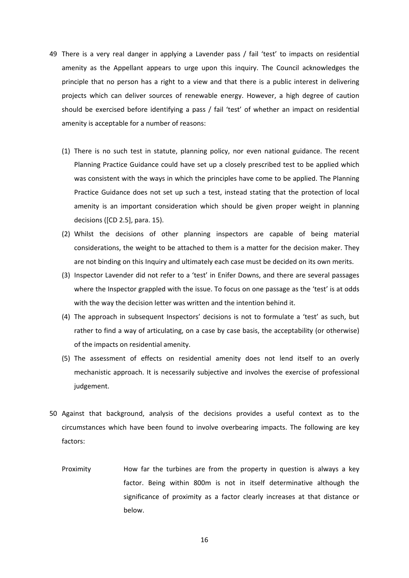- 49 There is a very real danger in applying a Lavender pass / fail 'test' to impacts on residential amenity as the Appellant appears to urge upon this inquiry. The Council acknowledges the principle that no person has a right to a view and that there is a public interest in delivering projects which can deliver sources of renewable energy. However, a high degree of caution should be exercised before identifying a pass / fail 'test' of whether an impact on residential amenity is acceptable for a number of reasons:
	- (1) There is no such test in statute, planning policy, nor even national guidance. The recent Planning Practice Guidance could have set up a closely prescribed test to be applied which was consistent with the ways in which the principles have come to be applied. The Planning Practice Guidance does not set up such a test, instead stating that the protection of local amenity is an important consideration which should be given proper weight in planning decisions ([CD 2.5], para. 15).
	- (2) Whilst the decisions of other planning inspectors are capable of being material considerations, the weight to be attached to them is a matter for the decision maker. They are not binding on this Inquiry and ultimately each case must be decided on its own merits.
	- (3) Inspector Lavender did not refer to a 'test' in Enifer Downs, and there are several passages where the Inspector grappled with the issue. To focus on one passage as the 'test' is at odds with the way the decision letter was written and the intention behind it.
	- (4) The approach in subsequent Inspectors' decisions is not to formulate a 'test' as such, but rather to find a way of articulating, on a case by case basis, the acceptability (or otherwise) of the impacts on residential amenity.
	- (5) The assessment of effects on residential amenity does not lend itself to an overly mechanistic approach. It is necessarily subjective and involves the exercise of professional judgement.
- 50 Against that background, analysis of the decisions provides a useful context as to the circumstances which have been found to involve overbearing impacts. The following are key factors:
	- Proximity How far the turbines are from the property in question is always a key factor. Being within 800m is not in itself determinative although the significance of proximity as a factor clearly increases at that distance or below.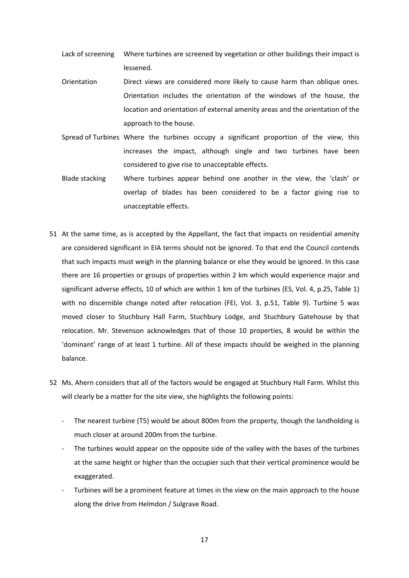- Lack of screening Where turbines are screened by vegetation or other buildings their impact is lessened.
- Orientation Direct views are considered more likely to cause harm than oblique ones. Orientation includes the orientation of the windows of the house, the location and orientation of external amenity areas and the orientation of the approach to the house.
- Spread of Turbines Where the turbines occupy a significant proportion of the view, this increases the impact, although single and two turbines have been considered to give rise to unacceptable effects.
- Blade stacking Where turbines appear behind one another in the view, the 'clash' or overlap of blades has been considered to be a factor giving rise to unacceptable effects.
- 51 At the same time, as is accepted by the Appellant, the fact that impacts on residential amenity are considered significant in EIA terms should not be ignored. To that end the Council contends that such impacts must weigh in the planning balance or else they would be ignored. In this case there are 16 properties or groups of properties within 2 km which would experience major and significant adverse effects, 10 of which are within 1 km of the turbines (ES, Vol. 4, p.25, Table 1) with no discernible change noted after relocation (FEI, Vol. 3, p.51, Table 9). Turbine 5 was moved closer to Stuchbury Hall Farm, Stuchbury Lodge, and Stuchbury Gatehouse by that relocation. Mr. Stevenson acknowledges that of those 10 properties, 8 would be within the 'dominant' range of at least 1 turbine. All of these impacts should be weighed in the planning balance.
- 52 Ms. Ahern considers that all of the factors would be engaged at Stuchbury Hall Farm. Whilst this will clearly be a matter for the site view, she highlights the following points:
	- ‐ The nearest turbine (T5) would be about 800m from the property, though the landholding is much closer at around 200m from the turbine.
	- The turbines would appear on the opposite side of the valley with the bases of the turbines at the same height or higher than the occupier such that their vertical prominence would be exaggerated.
	- ‐ Turbines will be a prominent feature at times in the view on the main approach to the house along the drive from Helmdon / Sulgrave Road.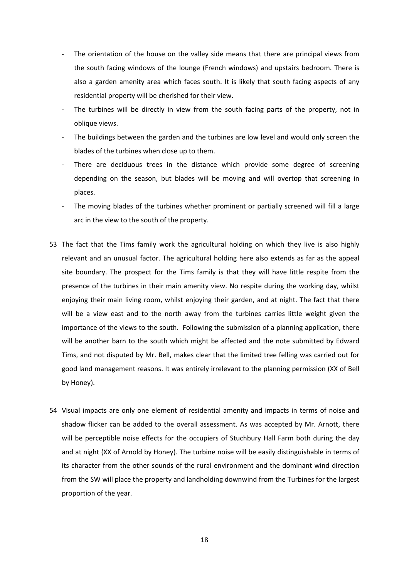- The orientation of the house on the valley side means that there are principal views from the south facing windows of the lounge (French windows) and upstairs bedroom. There is also a garden amenity area which faces south. It is likely that south facing aspects of any residential property will be cherished for their view.
- The turbines will be directly in view from the south facing parts of the property, not in oblique views.
- The buildings between the garden and the turbines are low level and would only screen the blades of the turbines when close up to them.
- There are deciduous trees in the distance which provide some degree of screening depending on the season, but blades will be moving and will overtop that screening in places.
- The moving blades of the turbines whether prominent or partially screened will fill a large arc in the view to the south of the property.
- 53 The fact that the Tims family work the agricultural holding on which they live is also highly relevant and an unusual factor. The agricultural holding here also extends as far as the appeal site boundary. The prospect for the Tims family is that they will have little respite from the presence of the turbines in their main amenity view. No respite during the working day, whilst enjoying their main living room, whilst enjoying their garden, and at night. The fact that there will be a view east and to the north away from the turbines carries little weight given the importance of the views to the south. Following the submission of a planning application, there will be another barn to the south which might be affected and the note submitted by Edward Tims, and not disputed by Mr. Bell, makes clear that the limited tree felling was carried out for good land management reasons. It was entirely irrelevant to the planning permission (XX of Bell by Honey).
- 54 Visual impacts are only one element of residential amenity and impacts in terms of noise and shadow flicker can be added to the overall assessment. As was accepted by Mr. Arnott, there will be perceptible noise effects for the occupiers of Stuchbury Hall Farm both during the day and at night (XX of Arnold by Honey). The turbine noise will be easily distinguishable in terms of its character from the other sounds of the rural environment and the dominant wind direction from the SW will place the property and landholding downwind from the Turbines for the largest proportion of the year.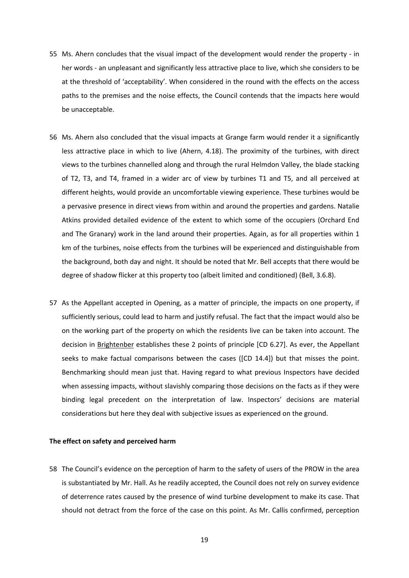- 55 Ms. Ahern concludes that the visual impact of the development would render the property ‐ in her words - an unpleasant and significantly less attractive place to live, which she considers to be at the threshold of 'acceptability'. When considered in the round with the effects on the access paths to the premises and the noise effects, the Council contends that the impacts here would be unacceptable.
- 56 Ms. Ahern also concluded that the visual impacts at Grange farm would render it a significantly less attractive place in which to live (Ahern, 4.18). The proximity of the turbines, with direct views to the turbines channelled along and through the rural Helmdon Valley, the blade stacking of T2, T3, and T4, framed in a wider arc of view by turbines T1 and T5, and all perceived at different heights, would provide an uncomfortable viewing experience. These turbines would be a pervasive presence in direct views from within and around the properties and gardens. Natalie Atkins provided detailed evidence of the extent to which some of the occupiers (Orchard End and The Granary) work in the land around their properties. Again, as for all properties within 1 km of the turbines, noise effects from the turbines will be experienced and distinguishable from the background, both day and night. It should be noted that Mr. Bell accepts that there would be degree of shadow flicker at this property too (albeit limited and conditioned) (Bell, 3.6.8).
- 57 As the Appellant accepted in Opening, as a matter of principle, the impacts on one property, if sufficiently serious, could lead to harm and justify refusal. The fact that the impact would also be on the working part of the property on which the residents live can be taken into account. The decision in Brightenber establishes these 2 points of principle [CD 6.27]. As ever, the Appellant seeks to make factual comparisons between the cases ([CD 14.4]) but that misses the point. Benchmarking should mean just that. Having regard to what previous Inspectors have decided when assessing impacts, without slavishly comparing those decisions on the facts as if they were binding legal precedent on the interpretation of law. Inspectors' decisions are material considerations but here they deal with subjective issues as experienced on the ground.

#### **The effect on safety and perceived harm**

58 The Council's evidence on the perception of harm to the safety of users of the PROW in the area is substantiated by Mr. Hall. As he readily accepted, the Council does not rely on survey evidence of deterrence rates caused by the presence of wind turbine development to make its case. That should not detract from the force of the case on this point. As Mr. Callis confirmed, perception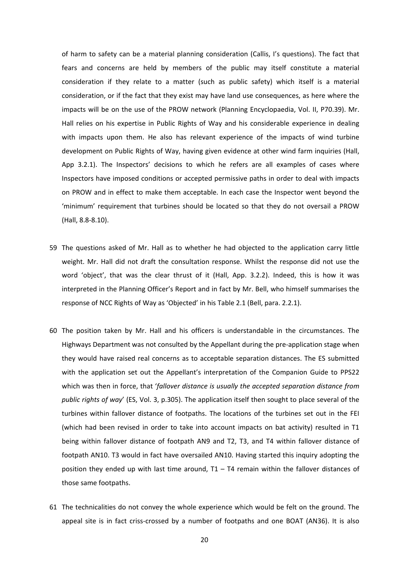of harm to safety can be a material planning consideration (Callis, I's questions). The fact that fears and concerns are held by members of the public may itself constitute a material consideration if they relate to a matter (such as public safety) which itself is a material consideration, or if the fact that they exist may have land use consequences, as here where the impacts will be on the use of the PROW network (Planning Encyclopaedia, Vol. II, P70.39). Mr. Hall relies on his expertise in Public Rights of Way and his considerable experience in dealing with impacts upon them. He also has relevant experience of the impacts of wind turbine development on Public Rights of Way, having given evidence at other wind farm inquiries (Hall, App 3.2.1). The Inspectors' decisions to which he refers are all examples of cases where Inspectors have imposed conditions or accepted permissive paths in order to deal with impacts on PROW and in effect to make them acceptable. In each case the Inspector went beyond the 'minimum' requirement that turbines should be located so that they do not oversail a PROW (Hall, 8.8‐8.10).

- 59 The questions asked of Mr. Hall as to whether he had objected to the application carry little weight. Mr. Hall did not draft the consultation response. Whilst the response did not use the word 'object', that was the clear thrust of it (Hall, App. 3.2.2). Indeed, this is how it was interpreted in the Planning Officer's Report and in fact by Mr. Bell, who himself summarises the response of NCC Rights of Way as 'Objected' in his Table 2.1 (Bell, para. 2.2.1).
- 60 The position taken by Mr. Hall and his officers is understandable in the circumstances. The Highways Department was not consulted by the Appellant during the pre‐application stage when they would have raised real concerns as to acceptable separation distances. The ES submitted with the application set out the Appellant's interpretation of the Companion Guide to PPS22 which was then in force, that '*fallover distance is usually the accepted separation distance from public rights of way*' (ES, Vol. 3, p.305). The application itself then sought to place several of the turbines within fallover distance of footpaths. The locations of the turbines set out in the FEI (which had been revised in order to take into account impacts on bat activity) resulted in T1 being within fallover distance of footpath AN9 and T2, T3, and T4 within fallover distance of footpath AN10. T3 would in fact have oversailed AN10. Having started this inquiry adopting the position they ended up with last time around,  $T1 - T4$  remain within the fallover distances of those same footpaths.
- 61 The technicalities do not convey the whole experience which would be felt on the ground. The appeal site is in fact criss-crossed by a number of footpaths and one BOAT (AN36). It is also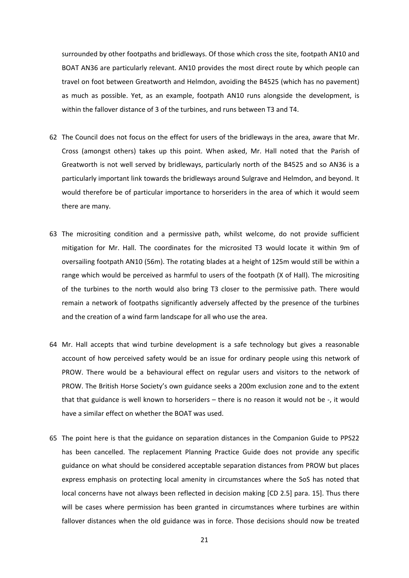surrounded by other footpaths and bridleways. Of those which cross the site, footpath AN10 and BOAT AN36 are particularly relevant. AN10 provides the most direct route by which people can travel on foot between Greatworth and Helmdon, avoiding the B4525 (which has no pavement) as much as possible. Yet, as an example, footpath AN10 runs alongside the development, is within the fallover distance of 3 of the turbines, and runs between T3 and T4.

- 62 The Council does not focus on the effect for users of the bridleways in the area, aware that Mr. Cross (amongst others) takes up this point. When asked, Mr. Hall noted that the Parish of Greatworth is not well served by bridleways, particularly north of the B4525 and so AN36 is a particularly important link towards the bridleways around Sulgrave and Helmdon, and beyond. It would therefore be of particular importance to horseriders in the area of which it would seem there are many.
- 63 The micrositing condition and a permissive path, whilst welcome, do not provide sufficient mitigation for Mr. Hall. The coordinates for the microsited T3 would locate it within 9m of oversailing footpath AN10 (56m). The rotating blades at a height of 125m would still be within a range which would be perceived as harmful to users of the footpath (X of Hall). The micrositing of the turbines to the north would also bring T3 closer to the permissive path. There would remain a network of footpaths significantly adversely affected by the presence of the turbines and the creation of a wind farm landscape for all who use the area.
- 64 Mr. Hall accepts that wind turbine development is a safe technology but gives a reasonable account of how perceived safety would be an issue for ordinary people using this network of PROW. There would be a behavioural effect on regular users and visitors to the network of PROW. The British Horse Society's own guidance seeks a 200m exclusion zone and to the extent that that guidance is well known to horseriders – there is no reason it would not be ‐, it would have a similar effect on whether the BOAT was used.
- 65 The point here is that the guidance on separation distances in the Companion Guide to PPS22 has been cancelled. The replacement Planning Practice Guide does not provide any specific guidance on what should be considered acceptable separation distances from PROW but places express emphasis on protecting local amenity in circumstances where the SoS has noted that local concerns have not always been reflected in decision making [CD 2.5] para. 15]. Thus there will be cases where permission has been granted in circumstances where turbines are within fallover distances when the old guidance was in force. Those decisions should now be treated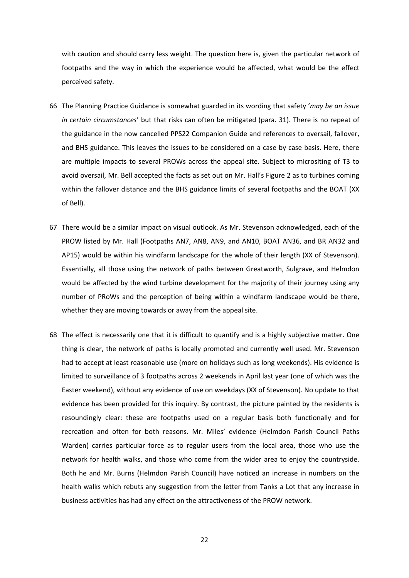with caution and should carry less weight. The question here is, given the particular network of footpaths and the way in which the experience would be affected, what would be the effect perceived safety.

- 66 The Planning Practice Guidance is somewhat guarded in its wording that safety '*may be an issue in certain circumstances*' but that risks can often be mitigated (para. 31). There is no repeat of the guidance in the now cancelled PPS22 Companion Guide and references to oversail, fallover, and BHS guidance. This leaves the issues to be considered on a case by case basis. Here, there are multiple impacts to several PROWs across the appeal site. Subject to micrositing of T3 to avoid oversail, Mr. Bell accepted the facts as set out on Mr. Hall's Figure 2 as to turbines coming within the fallover distance and the BHS guidance limits of several footpaths and the BOAT (XX of Bell).
- 67 There would be a similar impact on visual outlook. As Mr. Stevenson acknowledged, each of the PROW listed by Mr. Hall (Footpaths AN7, AN8, AN9, and AN10, BOAT AN36, and BR AN32 and AP15) would be within his windfarm landscape for the whole of their length (XX of Stevenson). Essentially, all those using the network of paths between Greatworth, Sulgrave, and Helmdon would be affected by the wind turbine development for the majority of their journey using any number of PRoWs and the perception of being within a windfarm landscape would be there, whether they are moving towards or away from the appeal site.
- 68 The effect is necessarily one that it is difficult to quantify and is a highly subjective matter. One thing is clear, the network of paths is locally promoted and currently well used. Mr. Stevenson had to accept at least reasonable use (more on holidays such as long weekends). His evidence is limited to surveillance of 3 footpaths across 2 weekends in April last year (one of which was the Easter weekend), without any evidence of use on weekdays (XX of Stevenson). No update to that evidence has been provided for this inquiry. By contrast, the picture painted by the residents is resoundingly clear: these are footpaths used on a regular basis both functionally and for recreation and often for both reasons. Mr. Miles' evidence (Helmdon Parish Council Paths Warden) carries particular force as to regular users from the local area, those who use the network for health walks, and those who come from the wider area to enjoy the countryside. Both he and Mr. Burns (Helmdon Parish Council) have noticed an increase in numbers on the health walks which rebuts any suggestion from the letter from Tanks a Lot that any increase in business activities has had any effect on the attractiveness of the PROW network.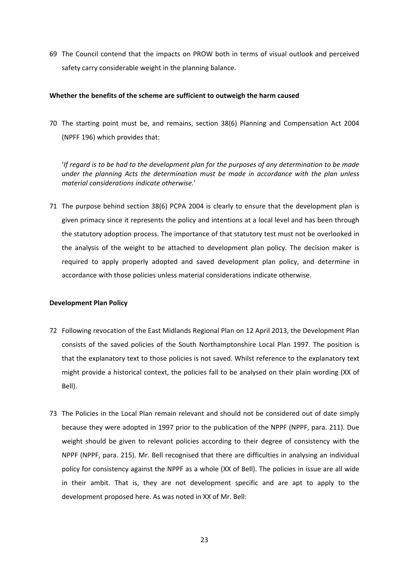69 The Council contend that the impacts on PROW both in terms of visual outlook and perceived safety carry considerable weight in the planning balance.

### **Whether the benefits of the scheme are sufficient to outweigh the harm caused**

70 The starting point must be, and remains, section 38(6) Planning and Compensation Act 2004 (NPFF 196) which provides that:

'If regard is to be had to the development plan for the purposes of any determination to be made *under the planning Acts the determination must be made in accordance with the plan unless material considerations indicate otherwise.*'

71 The purpose behind section 38(6) PCPA 2004 is clearly to ensure that the development plan is given primacy since it represents the policy and intentions at a local level and has been through the statutory adoption process. The importance of that statutory test must not be overlooked in the analysis of the weight to be attached to development plan policy. The decision maker is required to apply properly adopted and saved development plan policy, and determine in accordance with those policies unless material considerations indicate otherwise.

#### **Development Plan Policy**

- 72 Following revocation of the East Midlands Regional Plan on 12 April 2013, the Development Plan consists of the saved policies of the South Northamptonshire Local Plan 1997. The position is that the explanatory text to those policies is not saved. Whilst reference to the explanatory text might provide a historical context, the policies fall to be analysed on their plain wording (XX of Bell).
- 73 The Policies in the Local Plan remain relevant and should not be considered out of date simply because they were adopted in 1997 prior to the publication of the NPPF (NPPF, para. 211). Due weight should be given to relevant policies according to their degree of consistency with the NPPF (NPPF, para. 215). Mr. Bell recognised that there are difficulties in analysing an individual policy for consistency against the NPPF as a whole (XX of Bell). The policies in issue are all wide in their ambit. That is, they are not development specific and are apt to apply to the development proposed here. As was noted in XX of Mr. Bell: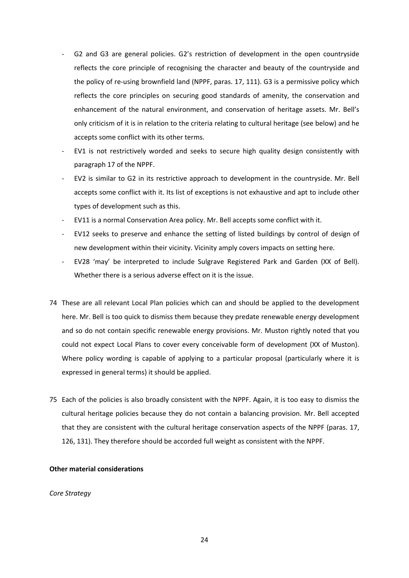- ‐ G2 and G3 are general policies. G2's restriction of development in the open countryside reflects the core principle of recognising the character and beauty of the countryside and the policy of re-using brownfield land (NPPF, paras. 17, 111). G3 is a permissive policy which reflects the core principles on securing good standards of amenity, the conservation and enhancement of the natural environment, and conservation of heritage assets. Mr. Bell's only criticism of it is in relation to the criteria relating to cultural heritage (see below) and he accepts some conflict with its other terms.
- EV1 is not restrictively worded and seeks to secure high quality design consistently with paragraph 17 of the NPPF.
- ‐ EV2 is similar to G2 in its restrictive approach to development in the countryside. Mr. Bell accepts some conflict with it. Its list of exceptions is not exhaustive and apt to include other types of development such as this.
- ‐ EV11 is a normal Conservation Area policy. Mr. Bell accepts some conflict with it.
- EV12 seeks to preserve and enhance the setting of listed buildings by control of design of new development within their vicinity. Vicinity amply covers impacts on setting here.
- ‐ EV28 'may' be interpreted to include Sulgrave Registered Park and Garden (XX of Bell). Whether there is a serious adverse effect on it is the issue.
- 74 These are all relevant Local Plan policies which can and should be applied to the development here. Mr. Bell is too quick to dismiss them because they predate renewable energy development and so do not contain specific renewable energy provisions. Mr. Muston rightly noted that you could not expect Local Plans to cover every conceivable form of development (XX of Muston). Where policy wording is capable of applying to a particular proposal (particularly where it is expressed in general terms) it should be applied.
- 75 Each of the policies is also broadly consistent with the NPPF. Again, it is too easy to dismiss the cultural heritage policies because they do not contain a balancing provision. Mr. Bell accepted that they are consistent with the cultural heritage conservation aspects of the NPPF (paras. 17, 126, 131). They therefore should be accorded full weight as consistent with the NPPF.

# **Other material considerations**

#### *Core Strategy*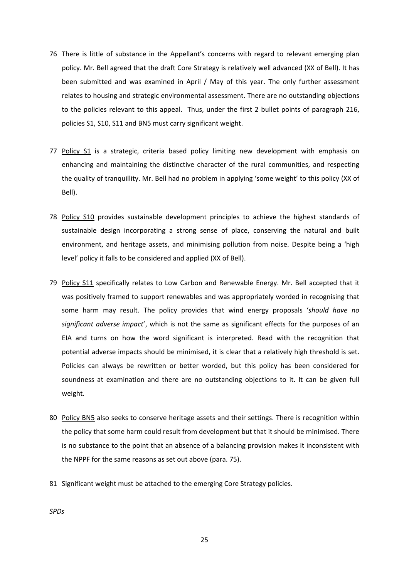- 76 There is little of substance in the Appellant's concerns with regard to relevant emerging plan policy. Mr. Bell agreed that the draft Core Strategy is relatively well advanced (XX of Bell). It has been submitted and was examined in April / May of this year. The only further assessment relates to housing and strategic environmental assessment. There are no outstanding objections to the policies relevant to this appeal. Thus, under the first 2 bullet points of paragraph 216, policies S1, S10, S11 and BN5 must carry significant weight.
- 77 Policy S1 is a strategic, criteria based policy limiting new development with emphasis on enhancing and maintaining the distinctive character of the rural communities, and respecting the quality of tranquillity. Mr. Bell had no problem in applying 'some weight' to this policy (XX of Bell).
- 78 Policy S10 provides sustainable development principles to achieve the highest standards of sustainable design incorporating a strong sense of place, conserving the natural and built environment, and heritage assets, and minimising pollution from noise. Despite being a 'high level' policy it falls to be considered and applied (XX of Bell).
- 79 Policy S11 specifically relates to Low Carbon and Renewable Energy. Mr. Bell accepted that it was positively framed to support renewables and was appropriately worded in recognising that some harm may result. The policy provides that wind energy proposals '*should have no significant adverse impact*', which is not the same as significant effects for the purposes of an EIA and turns on how the word significant is interpreted. Read with the recognition that potential adverse impacts should be minimised, it is clear that a relatively high threshold is set. Policies can always be rewritten or better worded, but this policy has been considered for soundness at examination and there are no outstanding objections to it. It can be given full weight.
- 80 Policy BN5 also seeks to conserve heritage assets and their settings. There is recognition within the policy that some harm could result from development but that it should be minimised. There is no substance to the point that an absence of a balancing provision makes it inconsistent with the NPPF for the same reasons as set out above (para. 75).
- 81 Significant weight must be attached to the emerging Core Strategy policies.

*SPDs*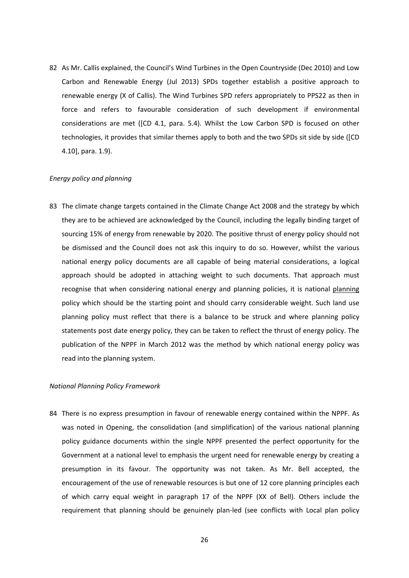82 As Mr. Callis explained, the Council's Wind Turbines in the Open Countryside (Dec 2010) and Low Carbon and Renewable Energy (Jul 2013) SPDs together establish a positive approach to renewable energy (X of Callis). The Wind Turbines SPD refers appropriately to PPS22 as then in force and refers to favourable consideration of such development if environmental considerations are met ([CD 4.1, para. 5.4). Whilst the Low Carbon SPD is focused on other technologies, it provides that similar themes apply to both and the two SPDs sit side by side ([CD 4.10], para. 1.9).

#### *Energy policy and planning*

83 The climate change targets contained in the Climate Change Act 2008 and the strategy by which they are to be achieved are acknowledged by the Council, including the legally binding target of sourcing 15% of energy from renewable by 2020. The positive thrust of energy policy should not be dismissed and the Council does not ask this inquiry to do so. However, whilst the various national energy policy documents are all capable of being material considerations, a logical approach should be adopted in attaching weight to such documents. That approach must recognise that when considering national energy and planning policies, it is national planning policy which should be the starting point and should carry considerable weight. Such land use planning policy must reflect that there is a balance to be struck and where planning policy statements post date energy policy, they can be taken to reflect the thrust of energy policy. The publication of the NPPF in March 2012 was the method by which national energy policy was read into the planning system.

### *National Planning Policy Framework*

84 There is no express presumption in favour of renewable energy contained within the NPPF. As was noted in Opening, the consolidation (and simplification) of the various national planning policy guidance documents within the single NPPF presented the perfect opportunity for the Government at a national level to emphasis the urgent need for renewable energy by creating a presumption in its favour. The opportunity was not taken. As Mr. Bell accepted, the encouragement of the use of renewable resources is but one of 12 core planning principles each of which carry equal weight in paragraph 17 of the NPPF (XX of Bell). Others include the requirement that planning should be genuinely plan‐led (see conflicts with Local plan policy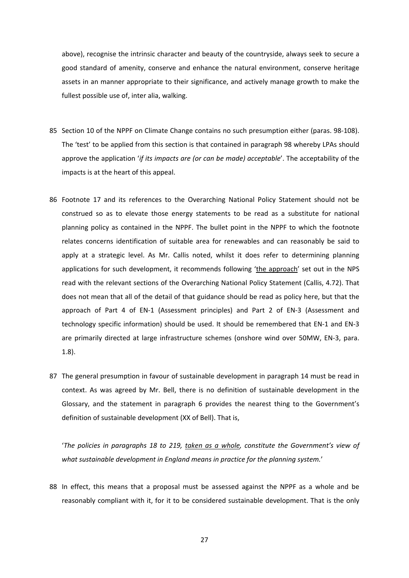above), recognise the intrinsic character and beauty of the countryside, always seek to secure a good standard of amenity, conserve and enhance the natural environment, conserve heritage assets in an manner appropriate to their significance, and actively manage growth to make the fullest possible use of, inter alia, walking.

- 85 Section 10 of the NPPF on Climate Change contains no such presumption either (paras. 98-108). The 'test' to be applied from this section is that contained in paragraph 98 whereby LPAs should approve the application '*if its impacts are (or can be made) acceptable*'. The acceptability of the impacts is at the heart of this appeal.
- 86 Footnote 17 and its references to the Overarching National Policy Statement should not be construed so as to elevate those energy statements to be read as a substitute for national planning policy as contained in the NPPF. The bullet point in the NPPF to which the footnote relates concerns identification of suitable area for renewables and can reasonably be said to apply at a strategic level. As Mr. Callis noted, whilst it does refer to determining planning applications for such development, it recommends following 'the approach' set out in the NPS read with the relevant sections of the Overarching National Policy Statement (Callis, 4.72). That does not mean that all of the detail of that guidance should be read as policy here, but that the approach of Part 4 of EN‐1 (Assessment principles) and Part 2 of EN‐3 (Assessment and technology specific information) should be used. It should be remembered that EN‐1 and EN‐3 are primarily directed at large infrastructure schemes (onshore wind over 50MW, EN‐3, para. 1.8).
- 87 The general presumption in favour of sustainable development in paragraph 14 must be read in context. As was agreed by Mr. Bell, there is no definition of sustainable development in the Glossary, and the statement in paragraph 6 provides the nearest thing to the Government's definition of sustainable development (XX of Bell). That is,

'*The policies in paragraphs 18 to 219, taken as a whole, constitute the Government's view of what sustainable development in England means in practice for the planning system.*'

88 In effect, this means that a proposal must be assessed against the NPPF as a whole and be reasonably compliant with it, for it to be considered sustainable development. That is the only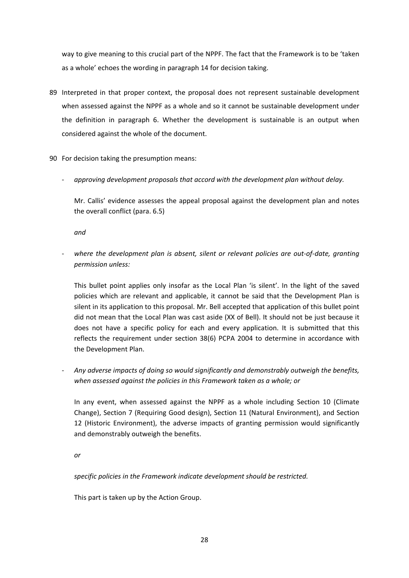way to give meaning to this crucial part of the NPPF. The fact that the Framework is to be 'taken as a whole' echoes the wording in paragraph 14 for decision taking.

- 89 Interpreted in that proper context, the proposal does not represent sustainable development when assessed against the NPPF as a whole and so it cannot be sustainable development under the definition in paragraph 6. Whether the development is sustainable is an output when considered against the whole of the document.
- 90 For decision taking the presumption means:
	- ‐ *approving development proposals that accord with the development plan without delay.*

Mr. Callis' evidence assesses the appeal proposal against the development plan and notes the overall conflict (para. 6.5)

*and* 

‐ *where the development plan is absent, silent or relevant policies are out‐of‐date, granting permission unless:*

This bullet point applies only insofar as the Local Plan 'is silent'. In the light of the saved policies which are relevant and applicable, it cannot be said that the Development Plan is silent in its application to this proposal. Mr. Bell accepted that application of this bullet point did not mean that the Local Plan was cast aside (XX of Bell). It should not be just because it does not have a specific policy for each and every application. It is submitted that this reflects the requirement under section 38(6) PCPA 2004 to determine in accordance with the Development Plan.

‐ *Any adverse impacts of doing so would significantly and demonstrably outweigh the benefits, when assessed against the policies in this Framework taken as a whole; or* 

In any event, when assessed against the NPPF as a whole including Section 10 (Climate Change), Section 7 (Requiring Good design), Section 11 (Natural Environment), and Section 12 (Historic Environment), the adverse impacts of granting permission would significantly and demonstrably outweigh the benefits.

*or*

*specific policies in the Framework indicate development should be restricted.*

This part is taken up by the Action Group.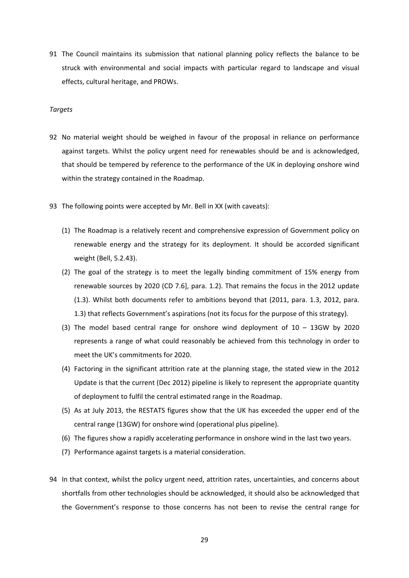91 The Council maintains its submission that national planning policy reflects the balance to be struck with environmental and social impacts with particular regard to landscape and visual effects, cultural heritage, and PROWs.

#### *Targets*

- 92 No material weight should be weighed in favour of the proposal in reliance on performance against targets. Whilst the policy urgent need for renewables should be and is acknowledged, that should be tempered by reference to the performance of the UK in deploying onshore wind within the strategy contained in the Roadmap.
- 93 The following points were accepted by Mr. Bell in XX (with caveats):
	- (1) The Roadmap is a relatively recent and comprehensive expression of Government policy on renewable energy and the strategy for its deployment. It should be accorded significant weight (Bell, 5.2.43).
	- (2) The goal of the strategy is to meet the legally binding commitment of 15% energy from renewable sources by 2020 (CD 7.6], para. 1.2). That remains the focus in the 2012 update (1.3). Whilst both documents refer to ambitions beyond that (2011, para. 1.3, 2012, para. 1.3) that reflects Government's aspirations (not its focus for the purpose of this strategy).
	- (3) The model based central range for onshore wind deployment of 10 13GW by 2020 represents a range of what could reasonably be achieved from this technology in order to meet the UK's commitments for 2020.
	- (4) Factoring in the significant attrition rate at the planning stage, the stated view in the 2012 Update is that the current (Dec 2012) pipeline is likely to represent the appropriate quantity of deployment to fulfil the central estimated range in the Roadmap.
	- (5) As at July 2013, the RESTATS figures show that the UK has exceeded the upper end of the central range (13GW) for onshore wind (operational plus pipeline).
	- (6) The figures show a rapidly accelerating performance in onshore wind in the last two years.
	- (7) Performance against targets is a material consideration.
- 94 In that context, whilst the policy urgent need, attrition rates, uncertainties, and concerns about shortfalls from other technologies should be acknowledged, it should also be acknowledged that the Government's response to those concerns has not been to revise the central range for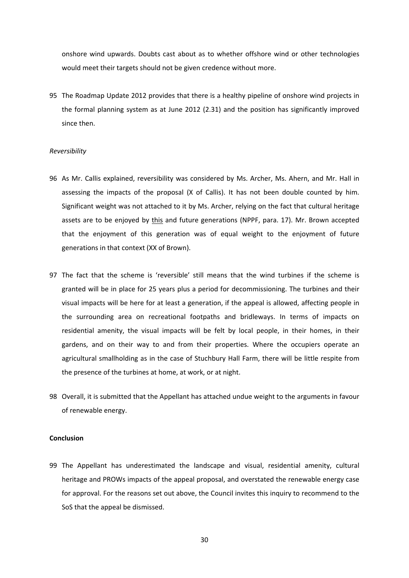onshore wind upwards. Doubts cast about as to whether offshore wind or other technologies would meet their targets should not be given credence without more.

95 The Roadmap Update 2012 provides that there is a healthy pipeline of onshore wind projects in the formal planning system as at June 2012 (2.31) and the position has significantly improved since then.

#### *Reversibility*

- 96 As Mr. Callis explained, reversibility was considered by Ms. Archer, Ms. Ahern, and Mr. Hall in assessing the impacts of the proposal (X of Callis). It has not been double counted by him. Significant weight was not attached to it by Ms. Archer, relying on the fact that cultural heritage assets are to be enjoyed by this and future generations (NPPF, para. 17). Mr. Brown accepted that the enjoyment of this generation was of equal weight to the enjoyment of future generations in that context (XX of Brown).
- 97 The fact that the scheme is 'reversible' still means that the wind turbines if the scheme is granted will be in place for 25 years plus a period for decommissioning. The turbines and their visual impacts will be here for at least a generation, if the appeal is allowed, affecting people in the surrounding area on recreational footpaths and bridleways. In terms of impacts on residential amenity, the visual impacts will be felt by local people, in their homes, in their gardens, and on their way to and from their properties. Where the occupiers operate an agricultural smallholding as in the case of Stuchbury Hall Farm, there will be little respite from the presence of the turbines at home, at work, or at night.
- 98 Overall, it is submitted that the Appellant has attached undue weight to the arguments in favour of renewable energy.

#### **Conclusion**

99 The Appellant has underestimated the landscape and visual, residential amenity, cultural heritage and PROWs impacts of the appeal proposal, and overstated the renewable energy case for approval. For the reasons set out above, the Council invites this inquiry to recommend to the SoS that the appeal be dismissed.